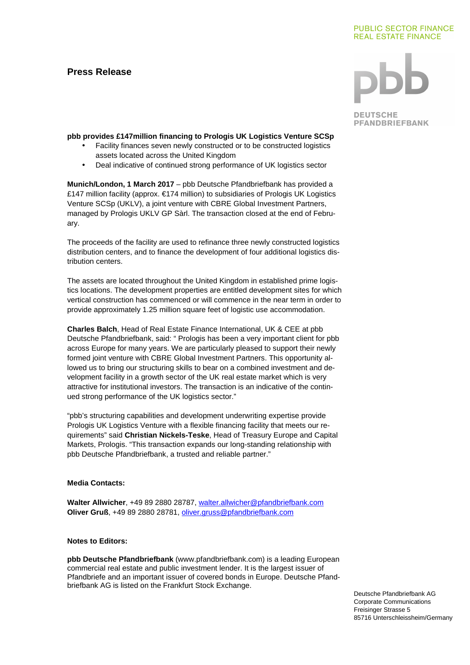# **Press Release**

# **PUBLIC SECTOR FINANCE REAL ESTATE FINANCE**

**DEUTSCHE PFANDBRIEFBANK** 

# **pbb provides £147million financing to Prologis UK Logistics Venture SCSp**

- Facility finances seven newly constructed or to be constructed logistics assets located across the United Kingdom
- Deal indicative of continued strong performance of UK logistics sector

**Munich/London, 1 March 2017** – pbb Deutsche Pfandbriefbank has provided a £147 million facility (approx. €174 million) to subsidiaries of Prologis UK Logistics Venture SCSp (UKLV), a joint venture with CBRE Global Investment Partners, managed by Prologis UKLV GP Sàrl. The transaction closed at the end of February.

The proceeds of the facility are used to refinance three newly constructed logistics distribution centers, and to finance the development of four additional logistics distribution centers.

The assets are located throughout the United Kingdom in established prime logistics locations. The development properties are entitled development sites for which vertical construction has commenced or will commence in the near term in order to provide approximately 1.25 million square feet of logistic use accommodation.

**Charles Balch**, Head of Real Estate Finance International, UK & CEE at pbb Deutsche Pfandbriefbank, said: " Prologis has been a very important client for pbb across Europe for many years. We are particularly pleased to support their newly formed joint venture with CBRE Global Investment Partners. This opportunity allowed us to bring our structuring skills to bear on a combined investment and development facility in a growth sector of the UK real estate market which is very attractive for institutional investors. The transaction is an indicative of the continued strong performance of the UK logistics sector."

"pbb's structuring capabilities and development underwriting expertise provide Prologis UK Logistics Venture with a flexible financing facility that meets our requirements" said **Christian Nickels-Teske**, Head of Treasury Europe and Capital Markets, Prologis. "This transaction expands our long-standing relationship with pbb Deutsche Pfandbriefbank, a trusted and reliable partner."

### **Media Contacts:**

**Walter Allwicher**, +49 89 2880 28787, walter.allwicher@pfandbriefbank.com **Oliver Gruß**, +49 89 2880 28781, oliver.gruss@pfandbriefbank.com

# **Notes to Editors:**

**pbb Deutsche Pfandbriefbank** (www.pfandbriefbank.com) is a leading European commercial real estate and public investment lender. It is the largest issuer of Pfandbriefe and an important issuer of covered bonds in Europe. Deutsche Pfandbriefbank AG is listed on the Frankfurt Stock Exchange.

Deutsche Pfandbriefbank AG Corporate Communications Freisinger Strasse 5 85716 Unterschleissheim/Germany